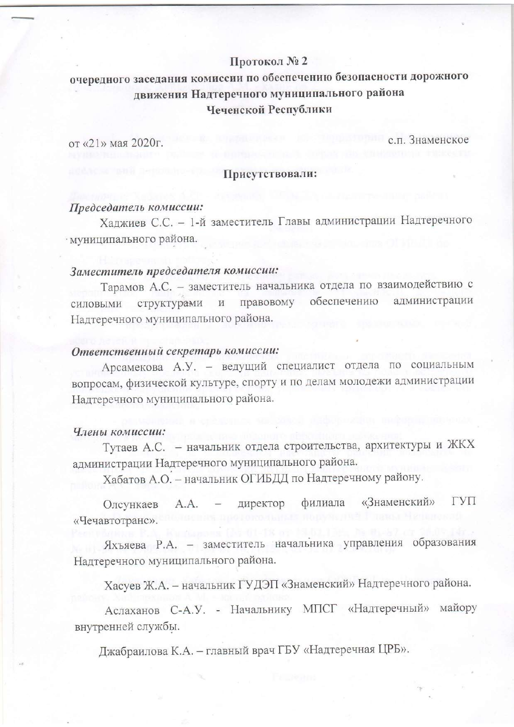## Протокол № 2

# очередного заседания комиссии по обеспечению безопасности дорожного движения Надтеречного муниципального района Чеченской Республики

от «21» мая 2020г.

с.п. Знаменское

### Присутствовали:

# Председатель комиссии:

Хаджиев С.С. - 1-й заместитель Главы администрации Надтеречного · муниципального района.

# Заместитель председателя комиссии:

Тарамов А.С. - заместитель начальника отдела по взаимодействию с силовыми структурами и правовому обеспечению администрации Надтеречного муниципального района.

### Ответственный секретарь комиссии:

Арсамекова А.У. - ведущий специалист отдела по социальным вопросам, физической культуре, спорту и по делам молодежи администрации Надтеречного муниципального района.

### Члены комиссии:

Тутаев А.С. - начальник отдела строительства, архитектуры и ЖКХ администрации Надтеречного муниципального района.

Хабатов А.О. - начальник ОГИБДД по Надтеречному району.

ГУП «Знаменский» филиала A.A. директор Олсункаев «Чечавтотранс».

Яхъяева Р.А. - заместитель начальника управления образования Надтеречного муниципального района.

Хасуев Ж.А. - начальник ГУДЭП «Знаменский» Надтеречного района.

Аслаханов С-А.У. - Начальнику МПСГ «Надтеречный» майору внутренней службы.

Джабраилова К.А. - главный врач ГБУ «Надтеречная ЦРБ».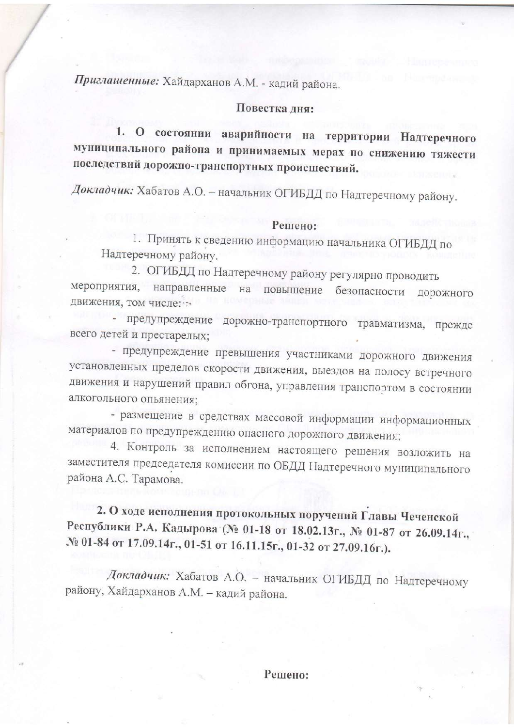Приглашенные: Хайдарханов А.М. - кадий района.

## Повестка дня:

1. О состоянии аварийности на территории Надтеречного муниципального района и принимаемых мерах по снижению тяжести последствий дорожно-транспортных происшествий.

Докладчик: Хабатов А.О. - начальник ОГИБДД по Надтеречному району.

#### Решено:

1. Принять к сведению информацию начальника ОГИБДД по Надтеречному району.

2. ОГИБДД по Надтеречному району регулярно проводить мероприятия, направленные на повышение безопасности дорожного движения, том числе:

предупреждение дорожно-транспортного травматизма, прежде всего детей и престарелых;

- предупреждение превышения участниками дорожного движения установленных пределов скорости движения, выездов на полосу встречного движения и нарушений правил обгона, управления транспортом в состоянии алкогольного опьянения;

- размещение в средствах массовой информации информационных материалов по предупреждению опасного дорожного движения;

4. Контроль за исполнением настоящего решения возложить на заместителя председателя комиссии по ОБДД Надтеречного муниципального района А.С. Тарамова.

2. О ходе исполнения протокольных поручений Главы Чеченской Республики Р.А. Кадырова (№ 01-18 от 18.02.13г., № 01-87 от 26.09.14г., № 01-84 от 17.09.14г., 01-51 от 16.11.15г., 01-32 от 27.09.16г.).

Докладчик: Хабатов А.О. - начальник ОГИБДД по Надтеречному району, Хайдарханов А.М. - кадий района.

Решено: